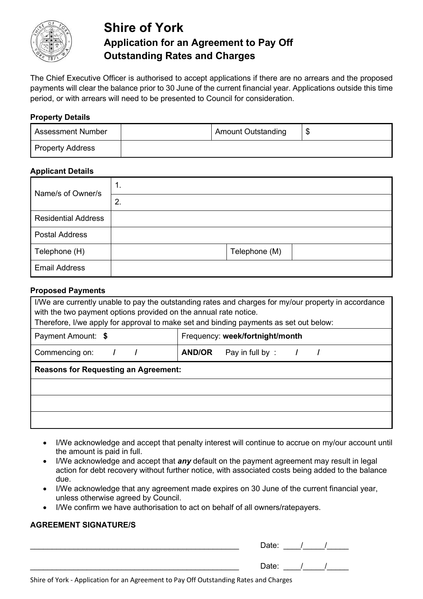

# **Shire of York Application for an Agreement to Pay Off Outstanding Rates and Charges**

The Chief Executive Officer is authorised to accept applications if there are no arrears and the proposed payments will clear the balance prior to 30 June of the current financial year. Applications outside this time period, or with arrears will need to be presented to Council for consideration.

#### **Property Details**

| <b>Assessment Number</b> | <b>Amount Outstanding</b> |  |
|--------------------------|---------------------------|--|
| <b>Property Address</b>  |                           |  |

#### **Applicant Details**

| Name/s of Owner/s          | 1.            |
|----------------------------|---------------|
|                            | 2.            |
| <b>Residential Address</b> |               |
| <b>Postal Address</b>      |               |
| Telephone (H)              | Telephone (M) |
| <b>Email Address</b>       |               |

#### **Proposed Payments**

| I/We are currently unable to pay the outstanding rates and charges for my/our property in accordance<br>with the two payment options provided on the annual rate notice.<br>Therefore, I/we apply for approval to make set and binding payments as set out below: |                                  |  |  |  |
|-------------------------------------------------------------------------------------------------------------------------------------------------------------------------------------------------------------------------------------------------------------------|----------------------------------|--|--|--|
| Payment Amount: \$                                                                                                                                                                                                                                                | Frequency: week/fortnight/month  |  |  |  |
| Commencing on:                                                                                                                                                                                                                                                    | <b>AND/OR</b><br>Pay in full by: |  |  |  |
| <b>Reasons for Requesting an Agreement:</b>                                                                                                                                                                                                                       |                                  |  |  |  |
|                                                                                                                                                                                                                                                                   |                                  |  |  |  |
|                                                                                                                                                                                                                                                                   |                                  |  |  |  |
|                                                                                                                                                                                                                                                                   |                                  |  |  |  |

- I/We acknowledge and accept that penalty interest will continue to accrue on my/our account until the amount is paid in full.
- I/We acknowledge and accept that *any* default on the payment agreement may result in legal action for debt recovery without further notice, with associated costs being added to the balance due.
- I/We acknowledge that any agreement made expires on 30 June of the current financial year, unless otherwise agreed by Council.
- I/We confirm we have authorisation to act on behalf of all owners/ratepayers.

### **AGREEMENT SIGNATURE/S**

| Date: |  |  |
|-------|--|--|
| Date: |  |  |

Shire of York - Application for an Agreement to Pay Off Outstanding Rates and Charges